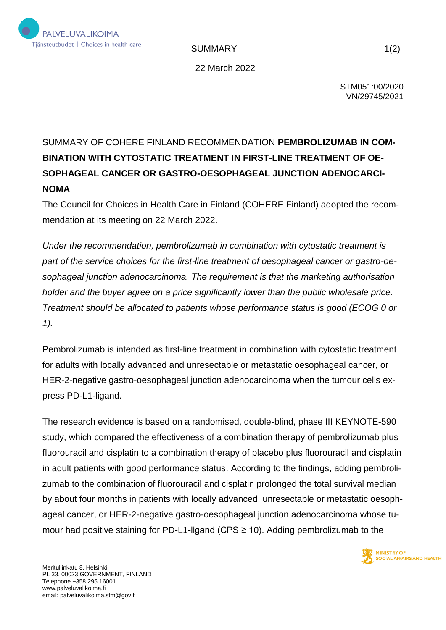

SUMMARY 1(2)

22 March 2022

STM051:00/2020 VN/29745/2021

## SUMMARY OF COHERE FINLAND RECOMMENDATION **PEMBROLIZUMAB IN COM-BINATION WITH CYTOSTATIC TREATMENT IN FIRST-LINE TREATMENT OF OE-SOPHAGEAL CANCER OR GASTRO-OESOPHAGEAL JUNCTION ADENOCARCI-NOMA**

The Council for Choices in Health Care in Finland (COHERE Finland) adopted the recommendation at its meeting on 22 March 2022.

*Under the recommendation, pembrolizumab in combination with cytostatic treatment is part of the service choices for the first-line treatment of oesophageal cancer or gastro-oesophageal junction adenocarcinoma. The requirement is that the marketing authorisation holder and the buyer agree on a price significantly lower than the public wholesale price. Treatment should be allocated to patients whose performance status is good (ECOG 0 or 1).*

Pembrolizumab is intended as first-line treatment in combination with cytostatic treatment for adults with locally advanced and unresectable or metastatic oesophageal cancer, or HER-2-negative gastro-oesophageal junction adenocarcinoma when the tumour cells express PD-L1-ligand.

The research evidence is based on a randomised, double-blind, phase III KEYNOTE-590 study, which compared the effectiveness of a combination therapy of pembrolizumab plus fluorouracil and cisplatin to a combination therapy of placebo plus fluorouracil and cisplatin in adult patients with good performance status. According to the findings, adding pembrolizumab to the combination of fluorouracil and cisplatin prolonged the total survival median by about four months in patients with locally advanced, unresectable or metastatic oesophageal cancer, or HER-2-negative gastro-oesophageal junction adenocarcinoma whose tumour had positive staining for PD-L1-ligand (CPS  $\geq$  10). Adding pembrolizumab to the

> **MINISTRY OF SOCIAL AFFAIRS AND HEALTH**